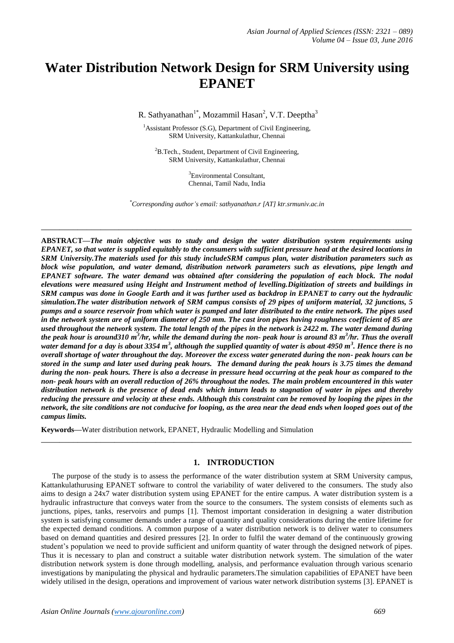# **Water Distribution Network Design for SRM University using EPANET**

R. Sathyanathan<sup>1\*</sup>, Mozammil Hasan<sup>2</sup>, V.T. Deeptha<sup>3</sup>

<sup>1</sup>Assistant Professor (S.G), Department of Civil Engineering, SRM University, Kattankulathur, Chennai

 ${}^{2}B$ .Tech., Student, Department of Civil Engineering, SRM University, Kattankulathur, Chennai

> <sup>3</sup>Environmental Consultant, Chennai, Tamil Nadu, India

*\*Corresponding author's email: sathyanathan.r [\[AT\] ktr.srmuniv.ac.in](mailto:sathyanathan.r@ktr.srmuniv.ac.in)*

**\_\_\_\_\_\_\_\_\_\_\_\_\_\_\_\_\_\_\_\_\_\_\_\_\_\_\_\_\_\_\_\_\_\_\_\_\_\_\_\_\_\_\_\_\_\_\_\_\_\_\_\_\_\_\_\_\_\_\_\_\_\_\_\_\_\_\_\_\_\_\_\_\_\_\_\_\_\_\_\_\_**

**ABSTRACT—***The main objective was to study and design the water distribution system requirements using EPANET, so that water is supplied equitably to the consumers with sufficient pressure head at the desired locations in SRM University.The materials used for this study includeSRM campus plan, water distribution parameters such as block wise population, and water demand, distribution network parameters such as elevations, pipe length and EPANET software. The water demand was obtained after considering the population of each block. The nodal elevations were measured using Height and Instrument method of levelling.Digitization of streets and buildings in SRM campus was done in Google Earth and it was further used as backdrop in EPANET to carry out the hydraulic simulation.The water distribution network of SRM campus consists of 29 pipes of uniform material, 32 junctions, 5 pumps and a source reservoir from which water is pumped and later distributed to the entire network. The pipes used in the network system are of uniform diameter of 250 mm. The cast iron pipes having roughness coefficient of 85 are used throughout the network system. The total length of the pipes in the network is 2422 m. The water demand during the peak hour is around310 m 3 /hr, while the demand during the non- peak hour is around 83 m<sup>3</sup> /hr. Thus the overall* water demand for a day is about 3354 m<sup>3</sup>, although the supplied quantity of water is about 4950 m<sup>3</sup>. Hence there is no *overall shortage of water throughout the day. Moreover the excess water generated during the non- peak hours can be stored in the sump and later used during peak hours. The demand during the peak hours is 3.75 times the demand during the non- peak hours. There is also a decrease in pressure head occurring at the peak hour as compared to the non- peak hours with an overall reduction of 26% throughout the nodes. The main problem encountered in this water distribution network is the presence of dead ends which inturn leads to stagnation of water in pipes and thereby reducing the pressure and velocity at these ends. Although this constraint can be removed by looping the pipes in the network, the site conditions are not conducive for looping, as the area near the dead ends when looped goes out of the campus limits.*

**Keywords—**Water distribution network, EPANET, Hydraulic Modelling and Simulation

#### **1. INTRODUCTION**

**\_\_\_\_\_\_\_\_\_\_\_\_\_\_\_\_\_\_\_\_\_\_\_\_\_\_\_\_\_\_\_\_\_\_\_\_\_\_\_\_\_\_\_\_\_\_\_\_\_\_\_\_\_\_\_\_\_\_\_\_\_\_\_\_\_\_\_\_\_\_\_\_\_\_\_\_\_\_\_\_\_**

The purpose of the study is to assess the performance of the water distribution system at SRM University campus, Kattankulathurusing EPANET software to control the variability of water delivered to the consumers. The study also aims to design a 24x7 water distribution system using EPANET for the entire campus. A water distribution system is a hydraulic infrastructure that conveys water from the source to the consumers. The system consists of elements such as junctions, pipes, tanks, reservoirs and pumps [1]. Themost important consideration in designing a water distribution system is satisfying consumer demands under a range of quantity and quality considerations during the entire lifetime for the expected demand conditions. A common purpose of a water distribution network is to deliver water to consumers based on demand quantities and desired pressures [2]. In order to fulfil the water demand of the continuously growing student's population we need to provide sufficient and uniform quantity of water through the designed network of pipes. Thus it is necessary to plan and construct a suitable water distribution network system. The simulation of the water distribution network system is done through modelling, analysis, and performance evaluation through various scenario investigations by manipulating the physical and hydraulic parameters.The simulation capabilities of EPANET have been widely utilised in the design, operations and improvement of various water network distribution systems [3]. EPANET is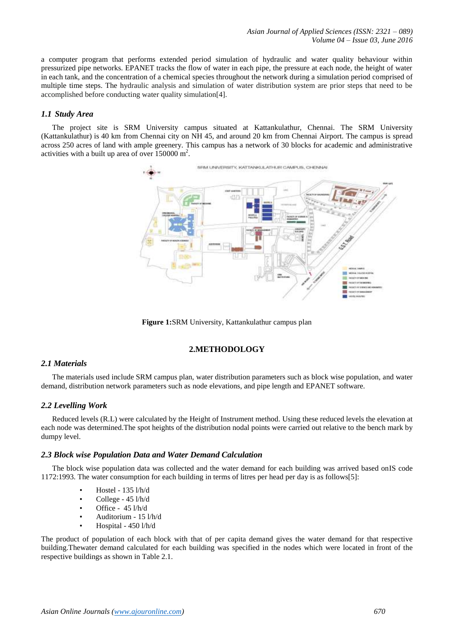a computer program that performs extended period simulation of hydraulic and water quality behaviour within pressurized pipe networks. EPANET tracks the flow of water in each pipe, the pressure at each node, the height of water in each tank, and the concentration of a chemical species throughout the network during a simulation period comprised of multiple time steps. The hydraulic analysis and simulation of water distribution system are prior steps that need to be accomplished before conducting water quality simulation[4].

## *1.1 Study Area*

The project site is SRM University campus situated at Kattankulathur, Chennai. The SRM University (Kattankulathur) is 40 km from Chennai city on NH 45, and around 20 km from Chennai Airport. The campus is spread across 250 acres of land with ample greenery. This campus has a network of 30 blocks for academic and administrative activities with a built up area of over  $150000 \text{ m}^2$ .



**Figure 1:**SRM University, Kattankulathur campus plan

# **2.METHODOLOGY**

### *2.1 Materials*

The materials used include SRM campus plan, water distribution parameters such as block wise population, and water demand, distribution network parameters such as node elevations, and pipe length and EPANET software.

# *2.2 Levelling Work*

Reduced levels (R.L) were calculated by the Height of Instrument method. Using these reduced levels the elevation at each node was determined.The spot heights of the distribution nodal points were carried out relative to the bench mark by dumpy level.

## *2.3 Block wise Population Data and Water Demand Calculation*

The block wise population data was collected and the water demand for each building was arrived based onIS code 1172:1993. The water consumption for each building in terms of litres per head per day is as follows[5]:

- Hostel 135 l/h/d
- College 45 l/h/d
- Office 45 l/h/d
- Auditorium 15 l/h/d
- Hospital 450 l/h/d

The product of population of each block with that of per capita demand gives the water demand for that respective building.Thewater demand calculated for each building was specified in the nodes which were located in front of the respective buildings as shown in Table 2.1.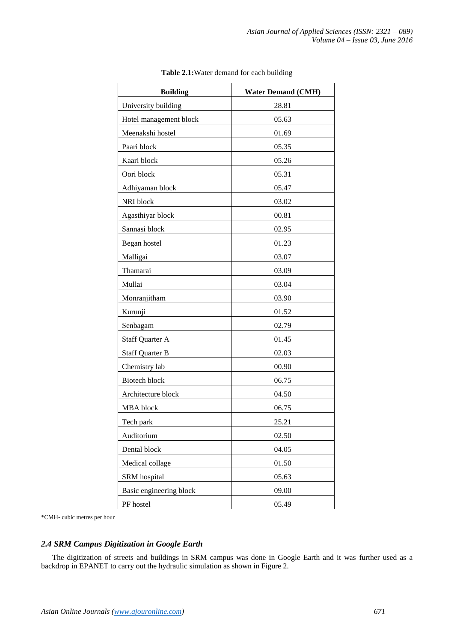| <b>Building</b>         | <b>Water Demand (CMH)</b> |
|-------------------------|---------------------------|
| University building     | 28.81                     |
| Hotel management block  | 05.63                     |
| Meenakshi hostel        | 01.69                     |
| Paari block             | 05.35                     |
| Kaari block             | 05.26                     |
| Oori block              | 05.31                     |
| Adhiyaman block         | 05.47                     |
| NRI block               | 03.02                     |
| Agasthiyar block        | 00.81                     |
| Sannasi block           | 02.95                     |
| Began hostel            | 01.23                     |
| Malligai                | 03.07                     |
| Thamarai                | 03.09                     |
| Mullai                  | 03.04                     |
| Monranjitham            | 03.90                     |
| Kurunji                 | 01.52                     |
| Senbagam                | 02.79                     |
| <b>Staff Quarter A</b>  | 01.45                     |
| <b>Staff Quarter B</b>  | 02.03                     |
| Chemistry lab           | 00.90                     |
| <b>Biotech block</b>    | 06.75                     |
| Architecture block      | 04.50                     |
| MBA block               | 06.75                     |
| Tech park               | 25.21                     |
| Auditorium              | 02.50                     |
| Dental block            | 04.05                     |
| Medical collage         | 01.50                     |
| SRM hospital            | 05.63                     |
| Basic engineering block | 09.00                     |
| PF hostel               | 05.49                     |

**Table 2.1:**Water demand for each building

\*CMH- cubic metres per hour

# *2.4 SRM Campus Digitization in Google Earth*

The digitization of streets and buildings in SRM campus was done in Google Earth and it was further used as a backdrop in EPANET to carry out the hydraulic simulation as shown in Figure 2.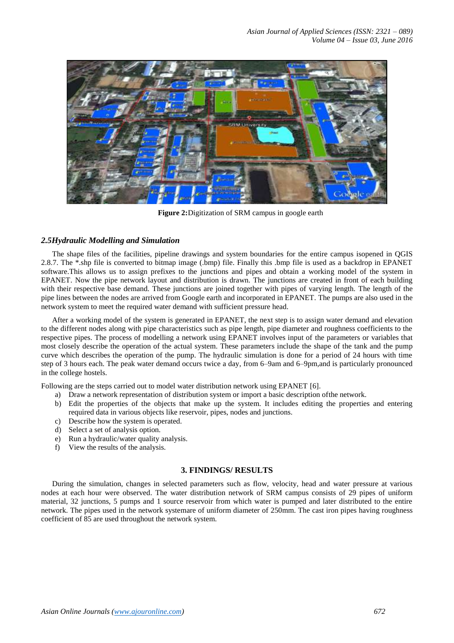*Asian Journal of Applied Sciences (ISSN: 2321 – 089) Volume 04 – Issue 03, June 2016*



**Figure 2:**Digitization of SRM campus in google earth

#### *2.5Hydraulic Modelling and Simulation*

The shape files of the facilities, pipeline drawings and system boundaries for the entire campus isopened in QGIS 2.8.7. The \*.shp file is converted to bitmap image (.bmp) file. Finally this .bmp file is used as a backdrop in EPANET software.This allows us to assign prefixes to the junctions and pipes and obtain a working model of the system in EPANET. Now the pipe network layout and distribution is drawn. The junctions are created in front of each building with their respective base demand. These junctions are joined together with pipes of varying length. The length of the pipe lines between the nodes are arrived from Google earth and incorporated in EPANET. The pumps are also used in the network system to meet the required water demand with sufficient pressure head.

After a working model of the system is generated in EPANET, the next step is to assign water demand and elevation to the different nodes along with pipe characteristics such as pipe length, pipe diameter and roughness coefficients to the respective pipes. The process of modelling a network using EPANET involves input of the parameters or variables that most closely describe the operation of the actual system. These parameters include the shape of the tank and the pump curve which describes the operation of the pump. The hydraulic simulation is done for a period of 24 hours with time step of 3 hours each. The peak water demand occurs twice a day, from 6–9am and 6–9pm,and is particularly pronounced in the college hostels.

Following are the steps carried out to model water distribution network using EPANET [6].

- a) Draw a network representation of distribution system or import a basic description ofthe network.
- b) Edit the properties of the objects that make up the system. It includes editing the properties and entering required data in various objects like reservoir, pipes, nodes and junctions.
- c) Describe how the system is operated.
- d) Select a set of analysis option.
- e) Run a hydraulic/water quality analysis.
- f) View the results of the analysis.

#### **3. FINDINGS/ RESULTS**

During the simulation, changes in selected parameters such as flow, velocity, head and water pressure at various nodes at each hour were observed. The water distribution network of SRM campus consists of 29 pipes of uniform material, 32 junctions, 5 pumps and 1 source reservoir from which water is pumped and later distributed to the entire network. The pipes used in the network systemare of uniform diameter of 250mm. The cast iron pipes having roughness coefficient of 85 are used throughout the network system.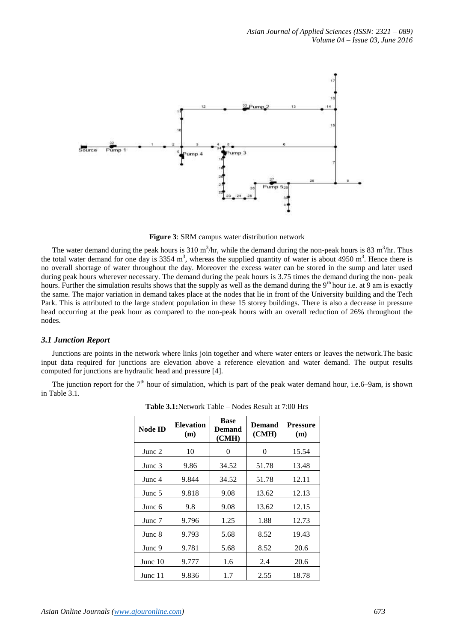

**Figure 3**: SRM campus water distribution network

The water demand during the peak hours is 310 m<sup>3</sup>/hr, while the demand during the non-peak hours is 83 m<sup>3</sup>/hr. Thus the total water demand for one day is 3354  $m^3$ , whereas the supplied quantity of water is about 4950  $m^3$ . Hence there is no overall shortage of water throughout the day. Moreover the excess water can be stored in the sump and later used during peak hours wherever necessary. The demand during the peak hours is 3.75 times the demand during the non- peak hours. Further the simulation results shows that the supply as well as the demand during the 9<sup>th</sup> hour i.e. at 9 am is exactly the same. The major variation in demand takes place at the nodes that lie in front of the University building and the Tech Park. This is attributed to the large student population in these 15 storey buildings. There is also a decrease in pressure head occurring at the peak hour as compared to the non-peak hours with an overall reduction of 26% throughout the nodes.

#### *3.1 Junction Report*

Junctions are points in the network where links join together and where water enters or leaves the network.The basic input data required for junctions are elevation above a reference elevation and water demand. The output results computed for junctions are hydraulic head and pressure [4].

The junction report for the  $7<sup>th</sup>$  hour of simulation, which is part of the peak water demand hour, i.e.6–9am, is shown in Table 3.1.

| <b>Node ID</b> | <b>Elevation</b><br>(m) | <b>Base</b><br>Demand<br>(CMH) | <b>Demand</b><br>(CMH) | <b>Pressure</b><br>(m) |
|----------------|-------------------------|--------------------------------|------------------------|------------------------|
| Junc 2         | 10                      | 0                              | 0                      | 15.54                  |
| Junc 3         | 9.86                    | 34.52                          | 51.78                  | 13.48                  |
| Junc 4         | 9.844                   | 34.52                          | 51.78                  | 12.11                  |
| Junc 5         | 9.818                   | 9.08                           | 13.62                  | 12.13                  |
| Junc $6$       | 9.8                     | 9.08                           | 13.62                  | 12.15                  |
| Junc 7         | 9.796                   | 1.25                           | 1.88                   | 12.73                  |
| Junc 8         | 9.793                   | 5.68                           | 8.52                   | 19.43                  |
| Junc 9         | 9.781                   | 5.68                           | 8.52                   | 20.6                   |
| Junc $10$      | 9.777                   | 1.6                            | 2.4                    | 20.6                   |
| Junc 11        | 9.836                   | 1.7                            | 2.55                   | 18.78                  |

**Table 3.1:**Network Table – Nodes Result at 7:00 Hrs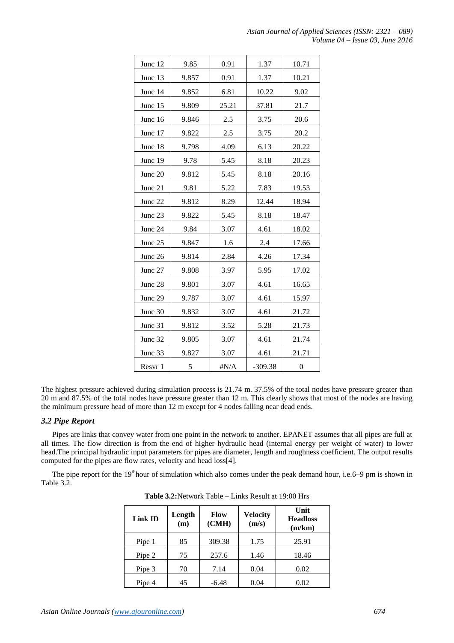| Junc 12 | 9.85  | 0.91         | 1.37      | 10.71            |
|---------|-------|--------------|-----------|------------------|
| Junc 13 | 9.857 | 0.91         | 1.37      | 10.21            |
| Junc 14 | 9.852 | 6.81         | 10.22     | 9.02             |
| Junc 15 | 9.809 | 25.21        | 37.81     | 21.7             |
| Junc 16 | 9.846 | 2.5          | 3.75      | 20.6             |
| Junc 17 | 9.822 | $2.5\,$      | 3.75      | 20.2             |
| Junc 18 | 9.798 | 4.09         | 6.13      | 20.22            |
| Junc 19 | 9.78  | 5.45         | 8.18      | 20.23            |
| Junc 20 | 9.812 | 5.45         | 8.18      | 20.16            |
| Junc 21 | 9.81  | 5.22         | 7.83      | 19.53            |
| Junc 22 | 9.812 | 8.29         | 12.44     | 18.94            |
| Junc 23 | 9.822 | 5.45         | 8.18      | 18.47            |
| Junc 24 | 9.84  | 3.07         | 4.61      | 18.02            |
| Junc 25 | 9.847 | 1.6          | 2.4       | 17.66            |
| Junc 26 | 9.814 | 2.84         | 4.26      | 17.34            |
| Junc 27 | 9.808 | 3.97         | 5.95      | 17.02            |
| Junc 28 | 9.801 | 3.07         | 4.61      | 16.65            |
| Junc 29 | 9.787 | 3.07         | 4.61      | 15.97            |
| Junc 30 | 9.832 | 3.07         | 4.61      | 21.72            |
| Junc 31 | 9.812 | 3.52         | 5.28      | 21.73            |
| Junc 32 | 9.805 | 3.07         | 4.61      | 21.74            |
| Junc 33 | 9.827 | 3.07         | 4.61      | 21.71            |
| Resvr 1 | 5     | $\sharp N/A$ | $-309.38$ | $\boldsymbol{0}$ |

The highest pressure achieved during simulation process is 21.74 m. 37.5% of the total nodes have pressure greater than 20 m and 87.5% of the total nodes have pressure greater than 12 m. This clearly shows that most of the nodes are having the minimum pressure head of more than 12 m except for 4 nodes falling near dead ends.

# *3.2 Pipe Report*

Pipes are links that convey water from one point in the network to another. EPANET assumes that all pipes are full at all times. The flow direction is from the end of higher hydraulic head (internal energy per weight of water) to lower head.The principal hydraulic input parameters for pipes are diameter, length and roughness coefficient. The output results computed for the pipes are flow rates, velocity and head loss[4].

The pipe report for the 19<sup>th</sup>hour of simulation which also comes under the peak demand hour, i.e.6–9 pm is shown in Table 3.2.

| Link ID | Length<br>(m) | Flow<br>(CMH) | <b>Velocity</b><br>(m/s) | Unit<br><b>Headloss</b><br>(m/km) |
|---------|---------------|---------------|--------------------------|-----------------------------------|
| Pipe 1  | 85            | 309.38        | 1.75                     | 25.91                             |
| Pipe 2  | 75            | 257.6         | 1.46                     | 18.46                             |
| Pipe 3  | 70            | 7.14          | 0.04                     | 0.02                              |
| Pipe 4  | 45            | $-6.48$       | 0.04                     | 0.02                              |

**Table 3.2:**Network Table – Links Result at 19:00 Hrs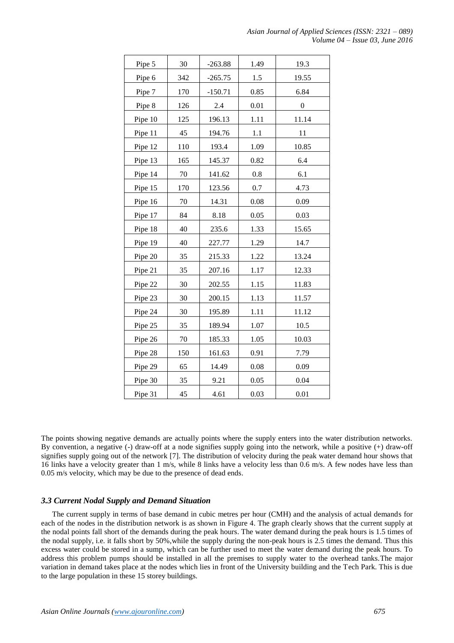| Pipe 5  | 30  | $-263.88$ | 1.49 | 19.3             |
|---------|-----|-----------|------|------------------|
| Pipe 6  | 342 | $-265.75$ | 1.5  | 19.55            |
| Pipe 7  | 170 | $-150.71$ | 0.85 | 6.84             |
| Pipe 8  | 126 | 2.4       | 0.01 | $\boldsymbol{0}$ |
| Pipe 10 | 125 | 196.13    | 1.11 | 11.14            |
| Pipe 11 | 45  | 194.76    | 1.1  | 11               |
| Pipe 12 | 110 | 193.4     | 1.09 | 10.85            |
| Pipe 13 | 165 | 145.37    | 0.82 | 6.4              |
| Pipe 14 | 70  | 141.62    | 0.8  | 6.1              |
| Pipe 15 | 170 | 123.56    | 0.7  | 4.73             |
| Pipe 16 | 70  | 14.31     | 0.08 | 0.09             |
| Pipe 17 | 84  | 8.18      | 0.05 | 0.03             |
| Pipe 18 | 40  | 235.6     | 1.33 | 15.65            |
| Pipe 19 | 40  | 227.77    | 1.29 | 14.7             |
| Pipe 20 | 35  | 215.33    | 1.22 | 13.24            |
| Pipe 21 | 35  | 207.16    | 1.17 | 12.33            |
| Pipe 22 | 30  | 202.55    | 1.15 | 11.83            |
| Pipe 23 | 30  | 200.15    | 1.13 | 11.57            |
| Pipe 24 | 30  | 195.89    | 1.11 | 11.12            |
| Pipe 25 | 35  | 189.94    | 1.07 | 10.5             |
| Pipe 26 | 70  | 185.33    | 1.05 | 10.03            |
| Pipe 28 | 150 | 161.63    | 0.91 | 7.79             |
| Pipe 29 | 65  | 14.49     | 0.08 | 0.09             |
| Pipe 30 | 35  | 9.21      | 0.05 | 0.04             |
| Pipe 31 | 45  | 4.61      | 0.03 | 0.01             |

The points showing negative demands are actually points where the supply enters into the water distribution networks. By convention, a negative (-) draw-off at a node signifies supply going into the network, while a positive (+) draw-off signifies supply going out of the network [7]. The distribution of velocity during the peak water demand hour shows that 16 links have a velocity greater than 1 m/s, while 8 links have a velocity less than 0.6 m/s. A few nodes have less than 0.05 m/s velocity, which may be due to the presence of dead ends.

### *3.3 Current Nodal Supply and Demand Situation*

The current supply in terms of base demand in cubic metres per hour (CMH) and the analysis of actual demands for each of the nodes in the distribution network is as shown in Figure 4. The graph clearly shows that the current supply at the nodal points fall short of the demands during the peak hours. The water demand during the peak hours is 1.5 times of the nodal supply, i.e. it falls short by 50%,while the supply during the non-peak hours is 2.5 times the demand. Thus this excess water could be stored in a sump, which can be further used to meet the water demand during the peak hours. To address this problem pumps should be installed in all the premises to supply water to the overhead tanks.The major variation in demand takes place at the nodes which lies in front of the University building and the Tech Park. This is due to the large population in these 15 storey buildings.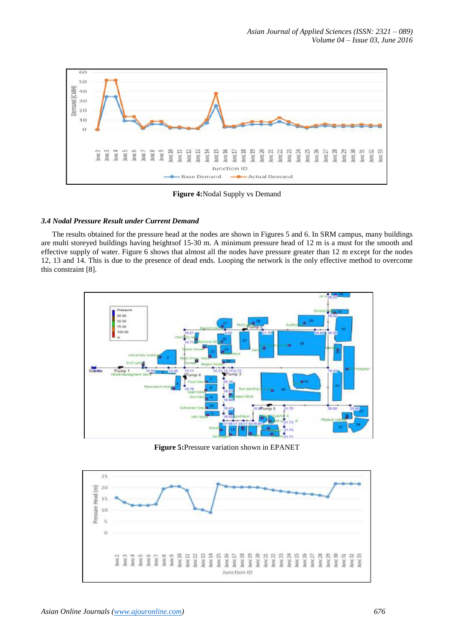

**Figure 4:**Nodal Supply vs Demand

## *3.4 Nodal Pressure Result under Current Demand*

The results obtained for the pressure head at the nodes are shown in Figures 5 and 6. In SRM campus, many buildings are multi storeyed buildings having heightsof 15-30 m. A minimum pressure head of 12 m is a must for the smooth and effective supply of water. Figure 6 shows that almost all the nodes have pressure greater than 12 m except for the nodes 12, 13 and 14. This is due to the presence of dead ends. Looping the network is the only effective method to overcome this constraint [8].



**Figure 5:**Pressure variation shown in EPANET

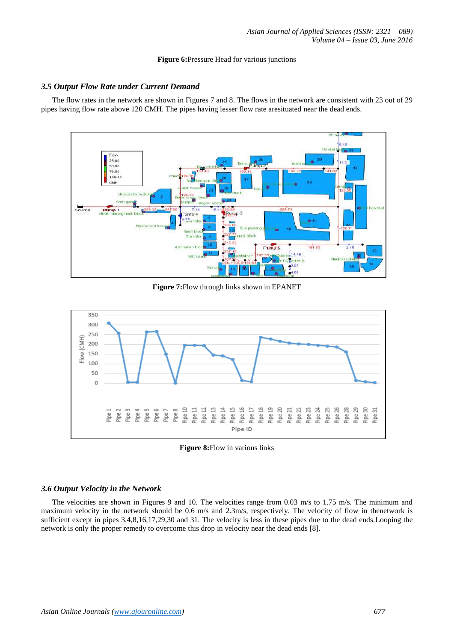#### **Figure 6:**Pressure Head for various junctions

# *3.5 Output Flow Rate under Current Demand*

The flow rates in the network are shown in Figures 7 and 8. The flows in the network are consistent with 23 out of 29 pipes having flow rate above 120 CMH. The pipes having lesser flow rate aresituated near the dead ends.



**Figure 7:**Flow through links shown in EPANET



**Figure 8:**Flow in various links

### *3.6 Output Velocity in the Network*

The velocities are shown in Figures 9 and 10. The velocities range from 0.03 m/s to 1.75 m/s. The minimum and maximum velocity in the network should be 0.6 m/s and 2.3m/s, respectively. The velocity of flow in thenetwork is sufficient except in pipes 3,4,8,16,17,29,30 and 31. The velocity is less in these pipes due to the dead ends.Looping the network is only the proper remedy to overcome this drop in velocity near the dead ends [8].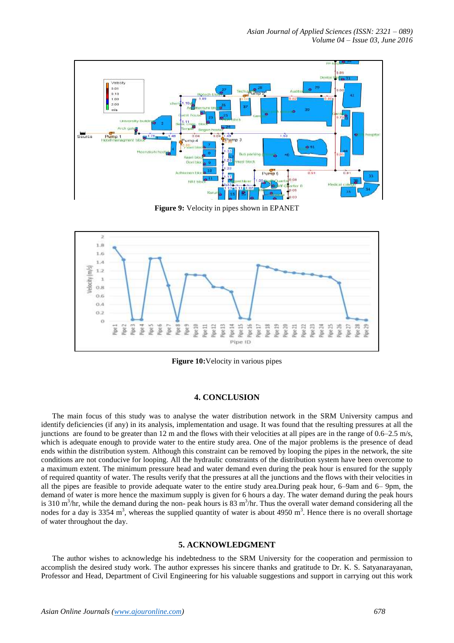

**Figure 9:** Velocity in pipes shown in EPANET



**Figure 10:**Velocity in various pipes

### **4. CONCLUSION**

The main focus of this study was to analyse the water distribution network in the SRM University campus and identify deficiencies (if any) in its analysis, implementation and usage. It was found that the resulting pressures at all the junctions are found to be greater than 12 m and the flows with their velocities at all pipes are in the range of 0.6–2.5 m/s, which is adequate enough to provide water to the entire study area. One of the major problems is the presence of dead ends within the distribution system. Although this constraint can be removed by looping the pipes in the network, the site conditions are not conducive for looping. All the hydraulic constraints of the distribution system have been overcome to a maximum extent. The minimum pressure head and water demand even during the peak hour is ensured for the supply of required quantity of water. The results verify that the pressures at all the junctions and the flows with their velocities in all the pipes are feasible to provide adequate water to the entire study area.During peak hour, 6–9am and 6– 9pm, the demand of water is more hence the maximum supply is given for 6 hours a day. The water demand during the peak hours is 310  $m<sup>3</sup>/hr$ , while the demand during the non-peak hours is 83  $m<sup>3</sup>/hr$ . Thus the overall water demand considering all the nodes for a day is 3354 m<sup>3</sup>, whereas the supplied quantity of water is about 4950 m<sup>3</sup>. Hence there is no overall shortage of water throughout the day.

#### **5. ACKNOWLEDGMENT**

The author wishes to acknowledge his indebtedness to the SRM University for the cooperation and permission to accomplish the desired study work. The author expresses his sincere thanks and gratitude to Dr. K. S. Satyanarayanan, Professor and Head, Department of Civil Engineering for his valuable suggestions and support in carrying out this work